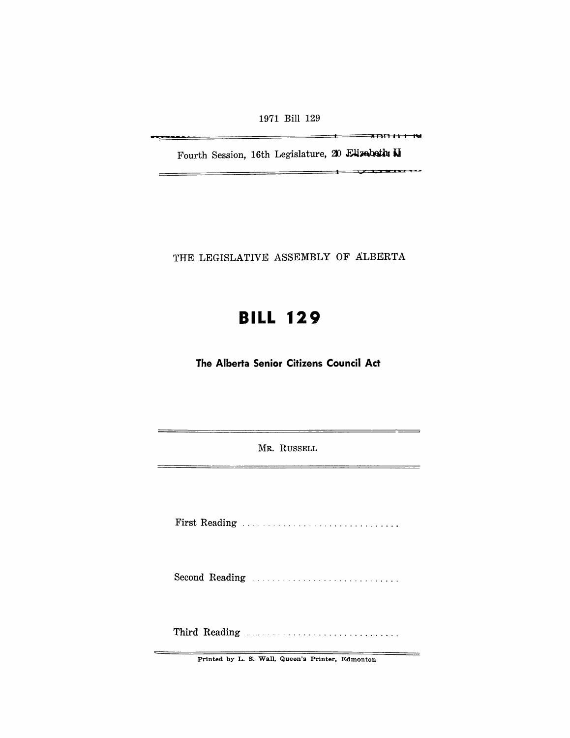1971 Bill 129

<del>------</del>

II Fl(] 11 I I~

Fourth Session, 16th Legislature, 20 Elizabeth N

 $\overline{1}$   $\overline{1}$   $\overline{1}$   $\overline{1}$   $\overline{1}$   $\overline{1}$   $\overline{1}$   $\overline{1}$   $\overline{1}$   $\overline{1}$   $\overline{1}$   $\overline{1}$   $\overline{1}$   $\overline{1}$   $\overline{1}$   $\overline{1}$   $\overline{1}$   $\overline{1}$   $\overline{1}$   $\overline{1}$   $\overline{1}$   $\overline{1}$   $\overline{1}$   $\overline{1}$   $\overline{$ 

THE LEGISLATIVE ASSEMBLY OF ALBERTA

# **BILL 129**

**The Alberta Senior Citizens Council Act** 

MR. RUSSELL

First Reading . . . . . . . . . . . . . . . . . . . . . . . . . . .....

Second Reading .................................

Third Reading ............................. .

Printed by L. S. Wall, Queen's Printer, Edmonton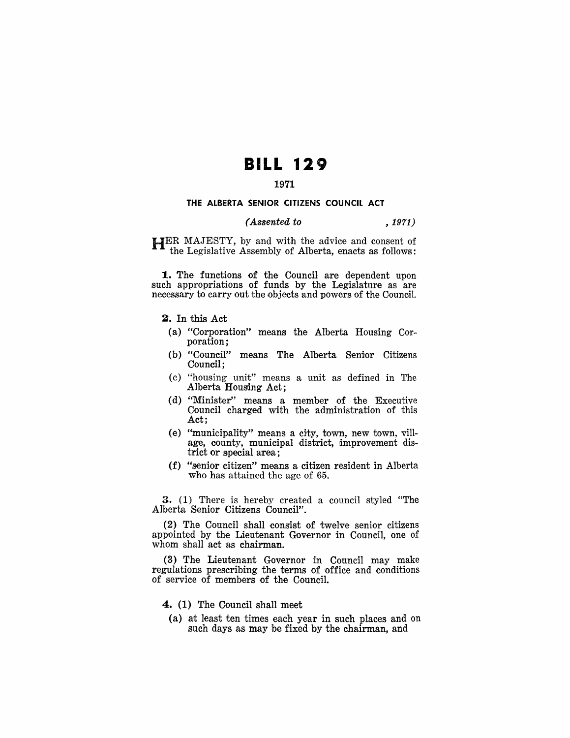## **BILL 129**

### **1971**

#### **THE ALBERTA SENIOR CITIZENS COUNCIL ACT**

#### *(Assented to* , 1971)

HER MAJESTY, by and with the advice and consent of the Legislative Assembly of Alberta, enacts as follows:

**1.** The functions of the Council are dependent upon such appropriations of funds by the Legislature as are necessary to carry out the objects and powers of the Council.

- **2.** In this Act
	- (a) "Corporation" means the Alberta Housing Corporation;
	- (b) "Council" means The Alberta Senior Citizens Council;
	- (c) "housing unit" means a unit as defined in The Alberta Housing Act;
- (d) "Minister" means a member of the Executive Council charged with the administration of this Act;
- (e) "municipality" means a city, town, new town, village, county, municipal district, improvement district or special area;
- (f) "senior citizen" means a citizen resident in Alberta who has attained the age of 65.

3. (1) There is hereby created a council styled "The Alberta Senior Citizens Council".

(2) The Council shall consist of twelve senior citizens appointed by the Lieutenant Governor in Council, one of whom shall act as chairman.

(3) The Lieutenant Governor in Council may make regulations prescribing the terms of office and conditions of service of members of the Council.

**4. (1)** The Council shall meet

(a) at least ten times each year in such places and on such days as may be fixed by the chairman, and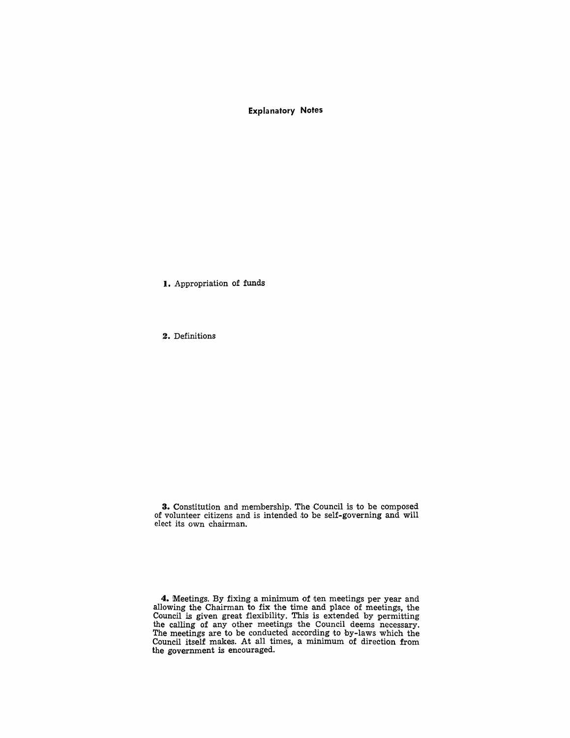Explanatory Notes

I. Appropriation of funds

2. Definitions

3. Constitution and membership. The Council is to be composed of volunteer citizens and is intended to be self-governing and will elect its own chairman.

4. Meetings. By fixing a minimum of ten meetings per year and allowing the Chairman to fix the time and place of meetings, the Council is given great flexibility. This is extended by permitting the calling of any other meetings the Council deems necessary. The meetings are to be conducted according to by-laws which the Council itself makes. At all times, a minimum of direction from the government is encouraged.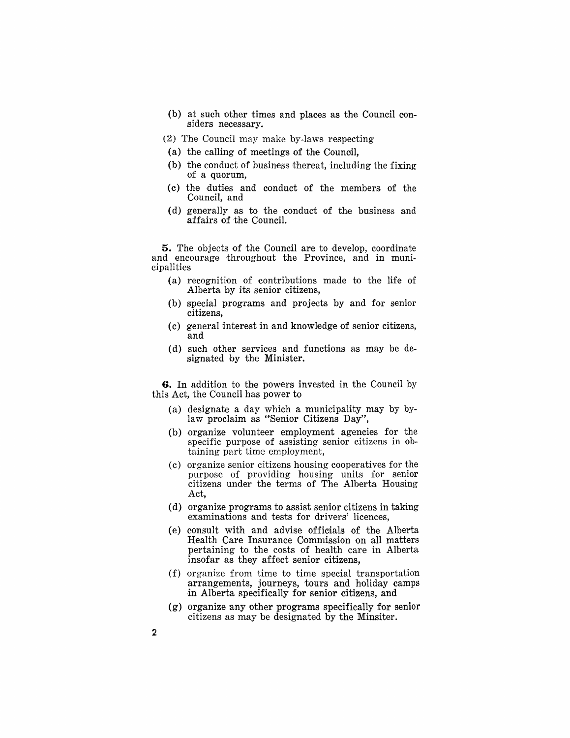- $(b)$  at such other times and places as the Council considers necessary.
- (2) The Council may make by-laws respecting
- (a) the calling of meetings of the Council,
- (b) the conduct of business thereat, including the fixing of a quorum,
- (c) the duties and conduct of the members of the Council, and
- (d) generally as to the eonduct of the business and 'affairs of the Council.

5. The objects of the Council are to develop, coordinate and encourage throughout the Province, and in municipalities

- $(a)$  recognition of contributions made to the life of Alberta by its senior citizens,
- (b) special programs and projects by and for senior citizens,
- (c) general interest in and knowledge of senior citizens, and
- (d) such other services and functions as may be designated by the Minister.

6. In addition to the powers invested in the Council by this Act, the Council has power to

- (a) designate a day which a municipality may by bylaw proclaim as "Senior Citizens Day",
- (b) organize volunteer employment agencies for the specific purpose of assisting senior citizens in obtaining part time employment,
- (c) organize senior citizens housing cooperatives for the purpose of providing housing units for senior citizens under the terms of The Alberta Housing Act,
- (d) organize programs to assist senior citizens in taking examinations and tests for drivers' licences,
- (e) consult with and advise officials of the Alberta Health Care Insurance Commission on all matters pertaining to the costs of health care in Alberta insofar as they affect senior citizens,
- (f) organize from time to time special transportation arrangements, journeys, tours and holiday camps in Alberta specifically for senior citizens, and
- $(g)$  organize any other programs specifically for senior citizens as may be designated by the Minsiter.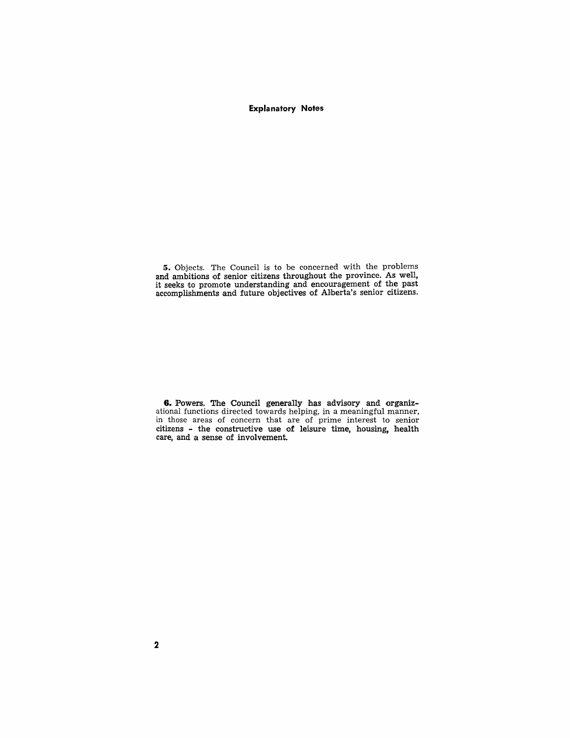#### **Expla natory Notes**

5. Objects. The Council is to be concerned with the problems and ambitions of senior citizens throughout the province. As well, it seeks to promote understanding and encouragement of the past accomplishments and future objectives of Alberta's senior citizens.

6. Powers. The Council generally has advisory and organizational functions directed towards helping, in a meaningful manner, in those areas of concern that are of prime interest to senior citizens - the constructive use of leisure time, housing, health care, and a sense of involvement.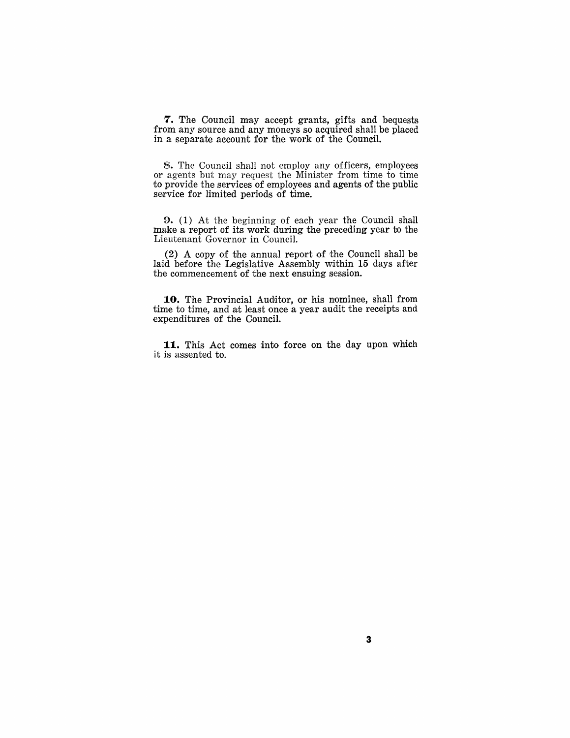7. The Council may accept grants, gifts and bequests from any source and any moneys so acquired shall be placed in a separate account for the work of the Council.

8. The Council shall not employ any officers, employees or agents but may request the Minister from time to time to provide the services of employees and agents of the public service for limited periods of time.

**9.** (1) At the beginning of each year the Council shall make a report of its work during the preceding year to the Lieutenant Governor in Council.

 $(2)$  A copy of the annual report of the Council shall be laid before the Legislative Assembly within 15 days after the commencement of the next ensuing session.

10. The Provincial Auditor, or his nominee, shall from time to time, and at least once a year audit the receipts and expenditures of the Council.

11. This Act comes into force on the day upon which it is assented to.